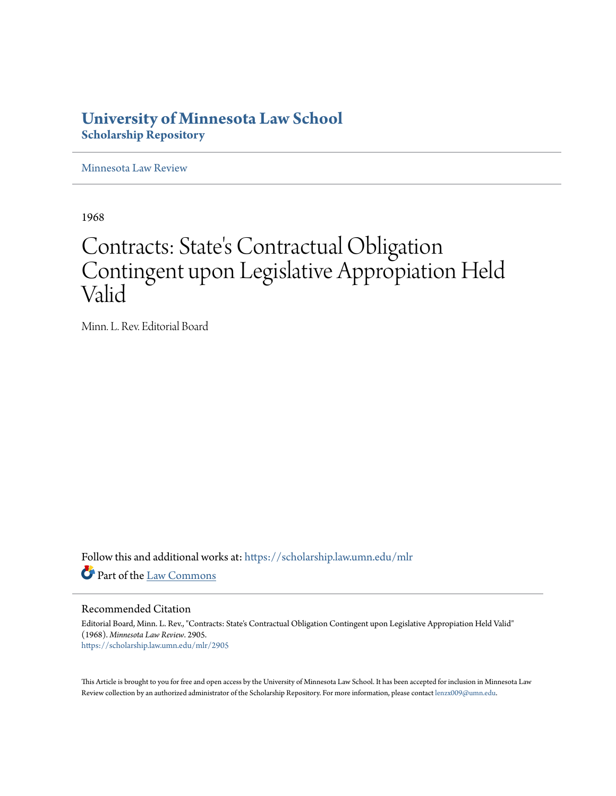## **University of Minnesota Law School [Scholarship Repository](https://scholarship.law.umn.edu?utm_source=scholarship.law.umn.edu%2Fmlr%2F2905&utm_medium=PDF&utm_campaign=PDFCoverPages)**

[Minnesota Law Review](https://scholarship.law.umn.edu/mlr?utm_source=scholarship.law.umn.edu%2Fmlr%2F2905&utm_medium=PDF&utm_campaign=PDFCoverPages)

1968

## Contracts: State 's Contractual Obligation Contingent upon Legislative Appropiation Held Valid

Minn. L. Rev. Editorial Board

Follow this and additional works at: [https://scholarship.law.umn.edu/mlr](https://scholarship.law.umn.edu/mlr?utm_source=scholarship.law.umn.edu%2Fmlr%2F2905&utm_medium=PDF&utm_campaign=PDFCoverPages) Part of the [Law Commons](http://network.bepress.com/hgg/discipline/578?utm_source=scholarship.law.umn.edu%2Fmlr%2F2905&utm_medium=PDF&utm_campaign=PDFCoverPages)

Recommended Citation

Editorial Board, Minn. L. Rev., "Contracts: State's Contractual Obligation Contingent upon Legislative Appropiation Held Valid" (1968). *Minnesota Law Review*. 2905. [https://scholarship.law.umn.edu/mlr/2905](https://scholarship.law.umn.edu/mlr/2905?utm_source=scholarship.law.umn.edu%2Fmlr%2F2905&utm_medium=PDF&utm_campaign=PDFCoverPages)

This Article is brought to you for free and open access by the University of Minnesota Law School. It has been accepted for inclusion in Minnesota Law Review collection by an authorized administrator of the Scholarship Repository. For more information, please contact [lenzx009@umn.edu.](mailto:lenzx009@umn.edu)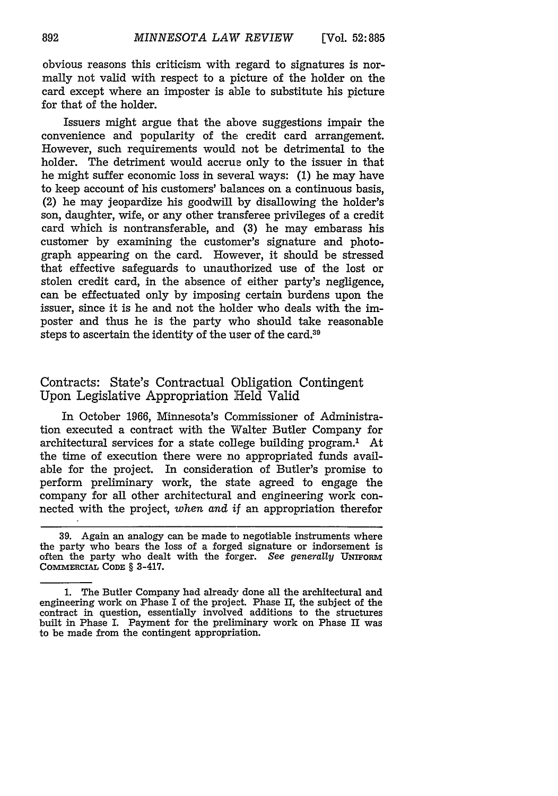obvious reasons this criticism with regard to signatures is normally not valid with respect to a picture of the holder on the card except where an imposter is able to substitute his picture for that of the holder.

Issuers might argue that the above suggestions impair the convenience and popularity of the credit card arrangement. However, such requirements would not be detrimental to the holder. The detriment would accrue only to the issuer in that he might suffer economic loss in several ways: (1) he may have to keep account of his customers' balances on a continuous basis, (2) he may jeopardize his goodwill by disallowing the holder's son, daughter, wife, or any other transferee privileges of a credit card which is nontransferable, and (3) he may embarass his customer by examining the customer's signature and photograph appearing on the card. However, it should be stressed that effective safeguards to unauthorized use of the lost or stolen credit card, in the absence of either party's negligence, can be effectuated only by imposing certain burdens upon the issuer, since it is he and not the holder who deals with the imposter and thus he is the party who should take reasonable steps to ascertain the identity of the user of the card.39

## Contracts: State's Contractual Obligation Contingent Upon Legislative Appropriation Held Valid

In October 1966, Minnesota's Commissioner of Administration executed a contract with the Walter Butler Company for architectural services for a state college building program.' At the time of execution there were no appropriated funds available for the project. In consideration of Butler's promise to perform preliminary work, the state agreed to engage the company for all other architectural and engineering work connected with the project, *when and if* an appropriation therefor

<sup>39.</sup> Again an analogy can be made to negotiable instruments where the party who bears the loss of a forged signature or indorsement is often the party who dealt with the forger. See *generally* **UNIFoRM COMMERCIAL CODE** § 3-417.

**<sup>1.</sup>** The Butler Company had already done all the architectural and engineering work on Phase I of the project. Phase II, the subject of the contract in question, essentially involved additions to the structures built in Phase I. Payment for the preliminary work on Phase II was to be made from the contingent appropriation.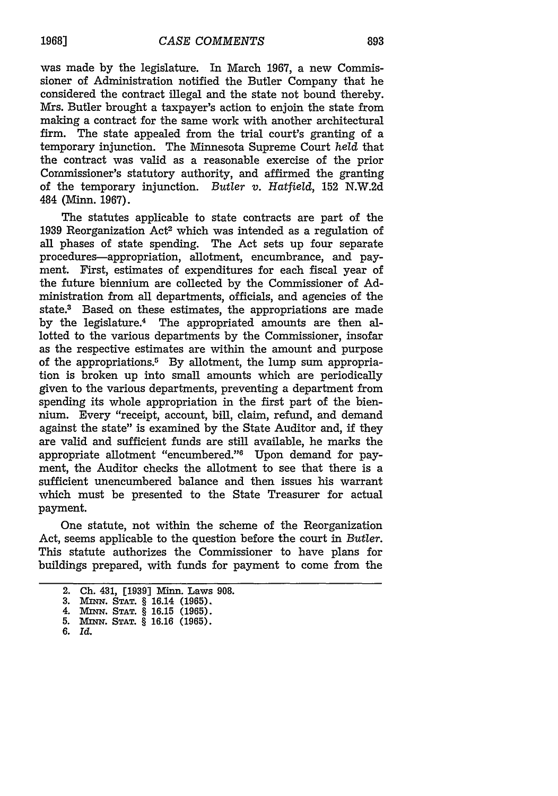was made by the legislature. In March 1967, a new Commissioner of Administration notified the Butler Company that he considered the contract illegal and the state not bound thereby. Mrs. Butler brought a taxpayer's action to enjoin the state from making a contract for the same work with another architectural firm. The state appealed from the trial court's granting of a temporary injunction. The Minnesota Supreme Court *held* that the contract was valid as a reasonable exercise of the prior Commissioner's statutory authority, and affirmed the granting of the temporary injunction. *Butler v. Hatfield,* 152 N.W.2d 484 (Minn. 1967).

The statutes applicable to state contracts are part of the 1939 Reorganization Act<sup>2</sup> which was intended as a regulation of all phases of state spending. The Act sets up four separate procedures-appropriation, allotment, encumbrance, and payment. First, estimates of expenditures for each fiscal year of the future biennium are collected by the Commissioner of Administration from all departments, officials, and agencies of the state.<sup>3</sup> Based on these estimates, the appropriations are made by the legislature.4 The appropriated amounts are then allotted to the various departments by the Commissioner, insofar as the respective estimates are within the amount and purpose of the appropriations.<sup>5</sup> By allotment, the lump sum appropriation is broken up into small amounts which are periodically given to the various departments, preventing a department from spending its whole appropriation in the first part of the biennium. Every "receipt, account, bill, claim, refund, and demand against the state" is examined by the State Auditor and, if they are valid and sufficient funds are still available, he marks the appropriate allotment "encumbered."<sup>6</sup> Upon demand for payment, the Auditor checks the allotment to see that there is a sufficient unencumbered balance and then issues his warrant which must be presented to the State Treasurer for actual payment.

One statute, not within the scheme of the Reorganization Act, seems applicable to the question before the court in *Butler.* This statute authorizes the Commissioner to have plans for buildings prepared, with funds for payment to come from the

<sup>2.</sup> Ch. 431, [1939] Minn. Laws 908.

**<sup>3.</sup>** MnqN. **STAT.** § 16.14 (1965). 4. **Mmx. STAT.** § **16.15 (1965).**

**<sup>5.</sup>** MiNN. **STAT.** § **16.16 (1965).**

**<sup>6.</sup>** *Id.*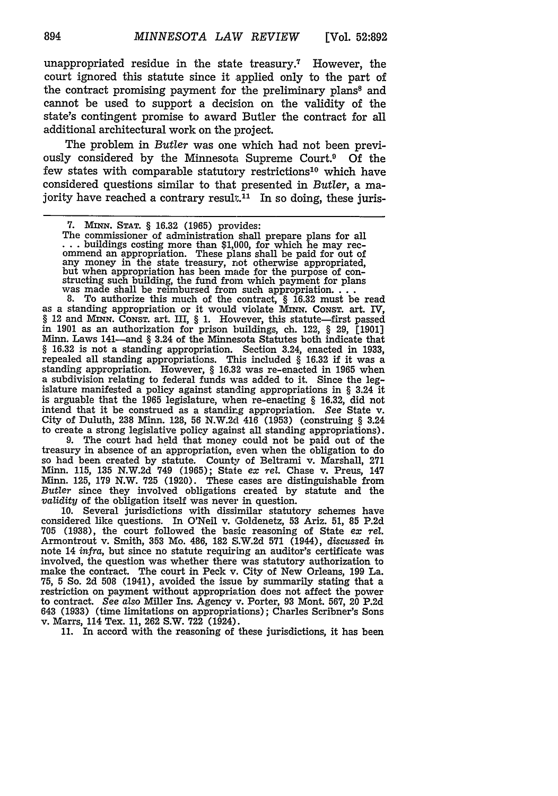unappropriated residue in the state treasury.7 However, the court ignored this statute since it applied only to the part of the contract promising payment for the preliminary plans<sup>8</sup> and cannot be used to support a decision on the validity of the state's contingent promise to award Butler the contract for all additional architectural work on the project.

The problem in *Butler* was one which had not been previously considered by the Minnesota Supreme Court.<sup>9</sup> Of the few states with comparable statutory restrictions<sup>10</sup> which have considered questions similar to that presented in *Butler,* a majority have reached a contrary result.<sup>11</sup> In so doing, these juris-

§ 12 and MnN. CONST. art. III, § 1. However, this statute-first passed in **1901** as an authorization for prison buildings, ch. 122, § **29, [1901]** Minn. Laws 141-and § 3.24 of the Minnesota Statutes both indicate that § **16.32** is not a standing appropriation. Section 3.24, enacted in **1933,** repealed all standing appropriations. This included § 16.32 if it was a standing appropriation. However, § 16.32 was re-enacted in 1965 when<br>a subdivision relating to federal funds was added to it. Since the lega subdivision relating to federal funds was added to it. Since the leg-islature manifested a policy against standing appropriations in § 3.24 it is arguable that the **1965** legislature, when re-enacting § **16.32,** did not intend that it be construed as a standing appropriation. *See* State v. City of Duluth, **238** Minn. **128,** 56 N.W.2d 416 **(1953)** (construing § 3.24 to create a strong legislative policy against all standing appropriations).

**9.** The court had held that money could not be paid out of the treasury in absence of an appropriation, even when the obligation to do so had been created **by** statute. County of Beltrami v. Marshall, **<sup>271</sup>** Minn. **115, 135 N.W.2d** 749 **(1965);** State *ex rel.* Chase v. Preus, 147 Minn. **125, 179** N.W. **725 (1920).** These cases are distinguishable from Butler since they involved obligations created **by** statute and the *validity* of the obligation itself was never in question.

**10.** Several jurisdictions with dissimilar statutory schemes have considered like questions. In O'Neil v. Goldenetz, **53** Ariz. **51, 85 P.2d 705 (1938),** the court followed the basic reasoning of State ex *rel.* Armontrout v. Smith, **353** Mo. 486, **182** S.W.2d **571** (1944), *discussed in* note 14 *infra,* but since no statute requiring an auditor's certificate was involved, the question was whether there was statutory authorization to make the contract. The court in Peck v. City of New Orleans, **199** La. **75, 5** So. **2d 508** (1941), avoided the issue **by** summarily stating that a restriction on payment without appropriation does not affect the power to contract. *See also* Miller Ins. Agency v. Porter, **93** Mont. **567,** 20 **P.2d** <sup>643</sup>**(1933)** (time limitations on appropriations); Charles Scribner's Sons v. Marrs, 114 Tex. **11, 262** S.W. 722 (1924).

**11.** In accord with the reasoning of these jurisdictions, it has been

<sup>7.</sup> MINN. STAT. § 16.32 (1965) provides:<br>The commissioner of administration shall prepare plans for all ... buildings costing more than \$1,000, for which he may recommend an appropriation. These plans shall be paid for out any money in the state treasury, not otherwise appropriated,<br>but when appropriation has been made for the purpose of con-<br>structing such building, the fund from which payment for plans<br>was made shall be reimbursed from su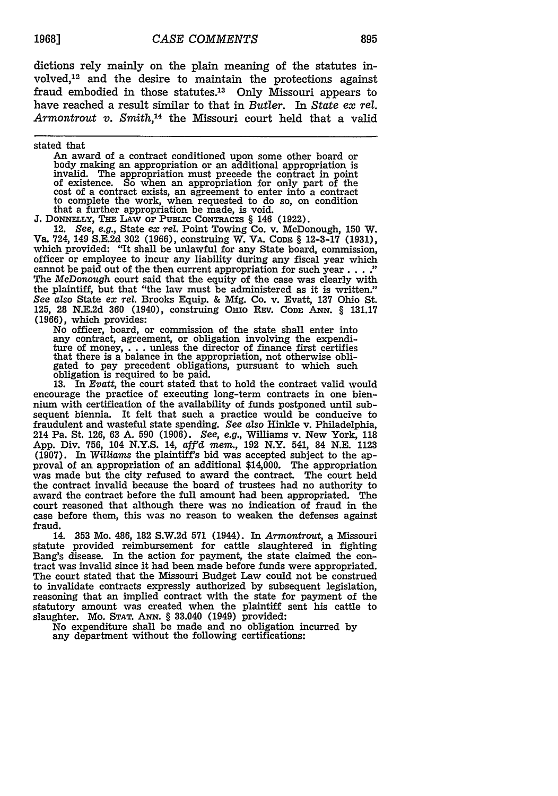dictions rely mainly on the plain meaning of the statutes involved, 12 and the desire to maintain the protections against fraud embodied in those statutes.<sup>13</sup> Only Missouri appears to have reached a result similar to that in *Butler.* In *State ex rel.* Armontrout v. Smith,<sup>14</sup> the Missouri court held that a valid

stated that

An award of a contract conditioned upon some other board or body making an appropriation or an additional appropriation is invalid. The appropriation must precede the contract in point of existence. So when an appropriation for only part of the cost of a contract exists, an agreement to enter into a contract to complete the work, when requested to do so, on condition that a further appropriation be made, is void.

**J.** DONNELLY, **THE LAW** Or **PUBLIC CONTRACTS** § 146 **(1922).**

12. *See, e.g.,* State *ex rel.* Point Towing Co. v. McDonough, **150** W. Va. 724, 149 **S.E.2d 302 (1966),** construing W. VA. CODE § 12-3-17 (1931), which provided: "It shall be unlawful for any State board, commission, officer or employee to incur any liability during any fiscal year which cannot be paid out of the then current appropriation for such year  $\dots$ . The McDonough court said that the equity of the case was clearly with the plaintiff, but that "the law must be administered as it is written." *See also* State *ex rel.* Brooks Equip. & Mfg. Co. v. Evatt, **137** Ohio St. 125, 28 N.E.2d 360 (1940), construing OHIo REV. **CODE ANN.** § 131.17 (1966), which provides:

No officer, board, or commission of the state shall enter into any contract, agreement, or obligation involving the expenditure of money, . . .unless the director of finance first certifies that there is a balance in the appropriation, not otherwise obligated to pay precedent obligations, pursuant to which such obligation is required to be paid.

**13.** In *Evatt,* the court stated that to hold the contract valid would encourage the practice of executing long-term contracts in one biennium with certification of the availability of funds postponed until subsequent biennia. It felt that such a practice would be conducive to fraudulent and wasteful state spending. *See also* Hinkle v. Philadelphia, 214 Pa. St. 126, 63 A. **590** (1906). *See, e.g.,* Williams v. New York, 118 App. Div. 756, 104 N.Y.S. 14, affd *mem.,* 192 N.Y. 541, 84 N.E. 1123 (1907). In *Williams* the plaintiff's bid was accepted subject to the approval of an appropriation of an additional \$14,000. The appropriation was made but the city refused to award the contract. The court held the contract invalid because the board of trustees had no authority to award the contract before the full amount had been appropriated. The court reasoned that although there was no indication of fraud in the case before them, this was no reason to weaken the defenses against fraud.

14. **353** Mo. 486, **182** S.W.2d **571** (1944). In *Armontrout,* a Missouri statute provided reimbursement for cattle slaughtered in fighting Bang's disease. In the action for payment, the state claimed the contract was invalid since it had been made before funds were appropriated. The court stated that the Missouri Budget Law could not be construed to invalidate contracts expressly authorized by subsequent legislation, reasoning that an implied contract with the state for payment of the statutory amount was created when the plaintiff sent his cattle to slaughter. Mo. **STAT. ANN.** § 33.040 (1949) provided:

No expenditure shall be made and no obligation incurred by any department without the following certifications: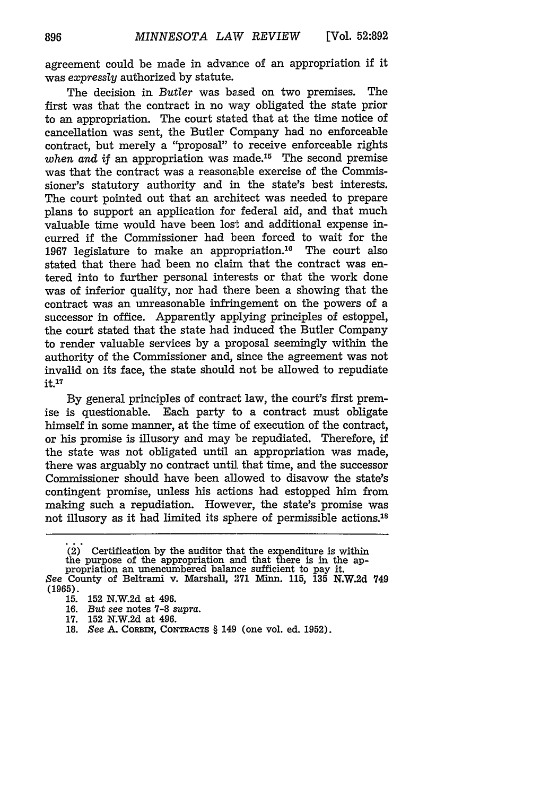agreement could be made in advance of an appropriation if it was *expressly* authorized by statute.

The decision in *Butler* was based on two premises. The first was that the contract in no way obligated the state prior to an appropriation. The court stated that at the time notice of cancellation was sent, the Butler Company had no enforceable contract, but merely a "proposal" to receive enforceable rights *when and if an appropriation was made.*<sup>15</sup> The second premise was that the contract was a reasonable exercise of the Commissioner's statutory authority and in the state's best interests. The court pointed out that an architect was needed to prepare plans to support an application for federal aid, and that much valuable time would have been lost and additional expense incurred if the Commissioner had been forced to wait for the 1967 legislature to make an appropriation." The court also stated that there had been no claim that the contract was entered into to further personal interests or that the work done was of inferior quality, nor had there been a showing that the contract was an unreasonable infringement on the powers of a successor in office. Apparently applying principles of estoppel, the court stated that the state had induced the Butler Company to render valuable services by a proposal seemingly within the authority of the Commissioner and, since the agreement was not invalid on its face, the state should not be allowed to repudiate  $it.$ <sup>17</sup>

By general principles of contract law, the court's first premise is questionable. Each party to a contract must obligate himself in some manner, at the time of execution of the contract, or his promise is illusory and may be repudiated. Therefore, if the state was not obligated until an appropriation was made, there was arguably no contract until. that time, and the successor Commissioner should have been allowed to disavow the state's contingent promise, unless his actions had estopped him from making such a repudiation. However, the state's promise was not illusory as it had limited its sphere of permissible actions.'8

<sup>(2)</sup> Certification by the auditor that the expenditure is within the purpose of the appropriation and that there is in the appropriation an unencumbered balance sufficient to pay it.

*See* County of Beltrami v. Marshall, 271 Minn. 115, 135 N.W.2d 749 **(1965).**

<sup>15. 152</sup> N.W.2d at 496.

<sup>16.</sup> *But see* notes 7-8 *supra.*

<sup>17. 152</sup> N.W.2d at 496.

<sup>18.</sup> *See A. CORBIN, CONTRACTS* § 149 (one vol. ed. 1952).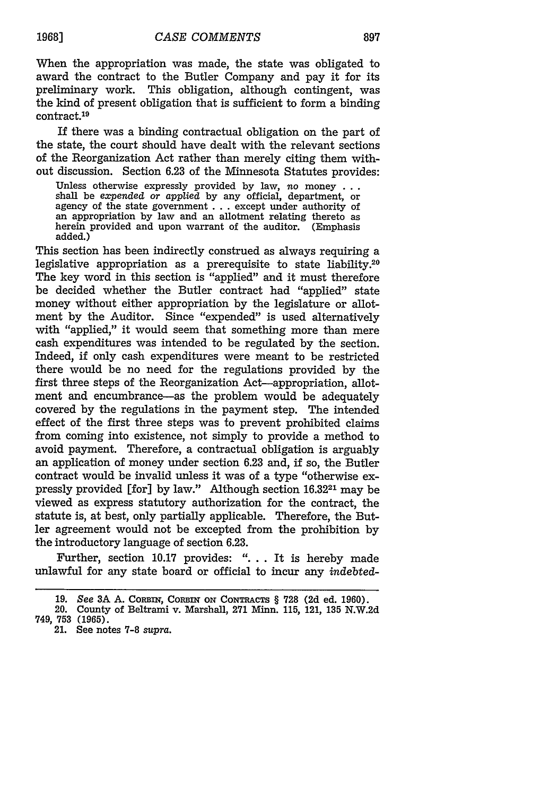897

When the appropriation was made, the state was obligated to award the contract to the Butler Company and pay it for its preliminary work. This obligation, although contingent, was the kind of present obligation that is sufficient to form a binding contract.19

If there was a binding contractual obligation on the part of the state, the court should have dealt with the relevant sections of the Reorganization Act rather than merely citing them without discussion. Section 6.23 of the Minnesota Statutes provides:

Unless otherwise expressly provided by law, no money **...** shall be *expended or applied* by any official, department, or agency of the state government . . . except under authority of an appropriation by law and an allotment relating thereto as herein provided and upon warrant of the auditor. (Emphasis added.)

This section has been indirectly construed as always requiring a legislative appropriation as a prerequisite to state liability.<sup>20</sup> The key word in this section is "applied" and it must therefore be decided whether the Butler contract had "applied" state money without either appropriation by the legislature or allotment by the Auditor. Since "expended" is used alternatively with "applied," it would seem that something more than mere cash expenditures was intended to be regulated by the section. Indeed, if only cash expenditures were meant to be restricted there would be no need for the regulations provided by the first three steps of the Reorganization Act—appropriation, allotment and encumbrance—as the problem would be adequately covered by the regulations in the payment step. The intended effect of the first three steps was to prevent prohibited claims from coming into existence, not simply to provide a method to avoid payment. Therefore, a contractual obligation is arguably an application of money under section 6.23 and, if so, the Butler contract would be invalid unless it was of a type "otherwise expressly provided [for] by law." Although section 16.3221 may be viewed as express statutory authorization for the contract, the statute is, at best, only partially applicable. Therefore, the Butler agreement would not be excepted from the prohibition by the introductory language of section 6.23.

Further, section 10.17 provides: ". **.** . It is hereby made unlawful for any state board or official to incur any *indebted-*

21. See notes **7-8** *supra.*

**19681**

<sup>19.</sup> See 3A A. CORBIN, CORBIN ON CONTRACTS § 728 (2d ed. 1960).

<sup>20.</sup> County of Beltrami v. Marshall, **271** Minn. 115, 121, **135** N.W.2d 749, 753 (1965).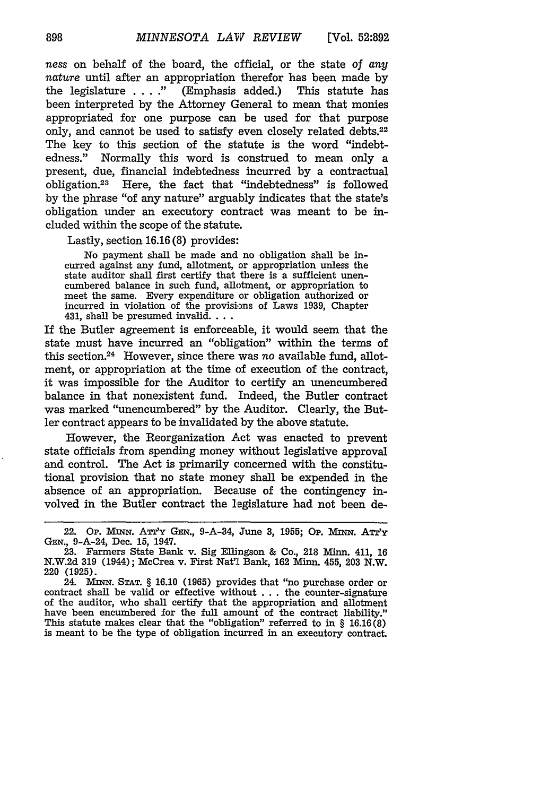*ness* on behalf of the board, the official, or the state of *any nature* until after an appropriation therefor has been made by the legislature **... ."** (Emphasis added.) This statute has been interpreted by the Attorney General to mean that monies appropriated for one purpose can be used for that purpose only, and cannot be used to satisfy even closely related debts.<sup>22</sup> The key to this section of the statute is the word "indebtedness." Normally this word is construed to mean only a present, due, financial indebtedness incurred by a contractual obligation.<sup>23</sup> Here, the fact that "indebtedness" is followed by the phrase "of any nature" arguably indicates that the state's obligation under an executory contract was meant to be included within the scope of the statute.

## Lastly, section 16.16 (8) provides:

No payment shall be made and no obligation shall be incurred against any fund, allotment, or appropriation unless the state auditor shall first certify that there is a sufficient unencumbered balance in such fund, allotment, or appropriation to meet the same. Every expenditure or obligation authorized or incurred in violation of the provisions of Laws 1939, Chapter 431, shall be presumed invalid....

If the Butler agreement is enforceable, it would seem that the state must have incurred an "obligation" within the terms of this section.24 However, since there was *no* available fund, allotment, or appropriation at the time of execution of the contract, it was impossible for the Auditor to certify an unencumbered balance in that nonexistent fund. Indeed, the Butler contract was marked "unencumbered" by the Auditor. Clearly, the Butler contract appears to be invalidated by the above statute.

However, the Reorganization Act was enacted to prevent state officials from spending money without legislative approval and control. The Act is primarily concerned with the constitutional provision that no state money shall be expended in the absence of an appropriation. Because of the contingency involved in the Butler contract the legislature had not been de-

<sup>22.</sup> **Op. MINN.** *AmrY* **GEN.,** 9-A-34, June 3, 1955; **Op.** Mx. ATT'y **GEN.,** 9-A-24, Dec. 15, 1947.

<sup>23.</sup> Farmers State Bank v. Sig Ellingson & Co., 218 Minn. 411, 16 N.W.2d 319 (1944); McCrea v. First Nat'1 Bank, 162 Minn. 455, 203 N.W. 220 (1925).

<sup>24.</sup> Aumn. **STAT.** § 16.10 (1965) provides that "no purchase order or contract shall be valid or effective without ... the counter-signature of the auditor, who shall certify that the appropriation and allotment have been encumbered for the full amount of the contract liability." This statute makes clear that the "obligation" referred to in § 16.16(8) is meant to be the type of obligation incurred in an executory contract.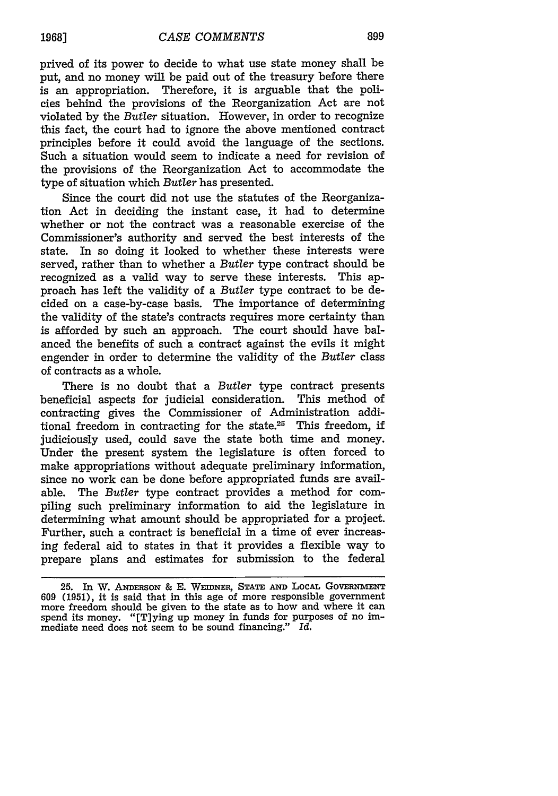prived of its power to decide to what use state money shall be put, and no money will be paid out of the treasury before there is an appropriation. Therefore, it is arguable that the policies behind the provisions of the Reorganization Act are not violated by the *Butler* situation. However, in order to recognize this fact, the court had to ignore the above mentioned contract principles before it could avoid the language of the sections. Such a situation would seem to indicate a need for revision of the provisions of the Reorganization Act to accommodate the type of situation which *Butler* has presented.

Since the court did not use the statutes of the Reorganization Act in deciding the instant case, it had to determine whether or not the contract was a reasonable exercise of the Commissioner's authority and served the best interests of the state. In so doing it looked to whether these interests were served, rather than to whether a *Butler* type contract should be recognized as a valid way to serve these interests. This approach has left the validity of a *Butler* type contract to be decided on a case-by-case basis. The importance of determining the validity of the state's contracts requires more certainty than is afforded by such an approach. The court should have balanced the benefits of such a contract against the evils it might engender in order to determine the validity of the *Butler* class of contracts as a whole.

There is no doubt that a *Butler* type contract presents beneficial aspects for judicial consideration. This method of contracting gives the Commissioner of Administration additional freedom in contracting for the state.25 This freedom, if judiciously used, could save the state both time and money. Under the present system the legislature is often forced to make appropriations without adequate preliminary information, since no work can be done before appropriated funds are available. The *Butler* type contract provides a method for compiling such preliminary information to aid the legislature in determining what amount should be appropriated for a project. Further, such a contract is beneficial in a time of ever increasing federal aid to states in that it provides a flexible way to prepare plans and estimates for submission to the federal

**19681**

<sup>25.</sup> In W. **ANERsON** & **E. WEIDNER, STATE AND LOCAL GoVERNmENT <sup>609</sup>**(1951), it is said that in this age of more responsible government more freedom should be given to the state as to how and where it can spend its money. "[T]ying up money in funds for purposes of no immediate need does not seem to be sound financing." *Id.*